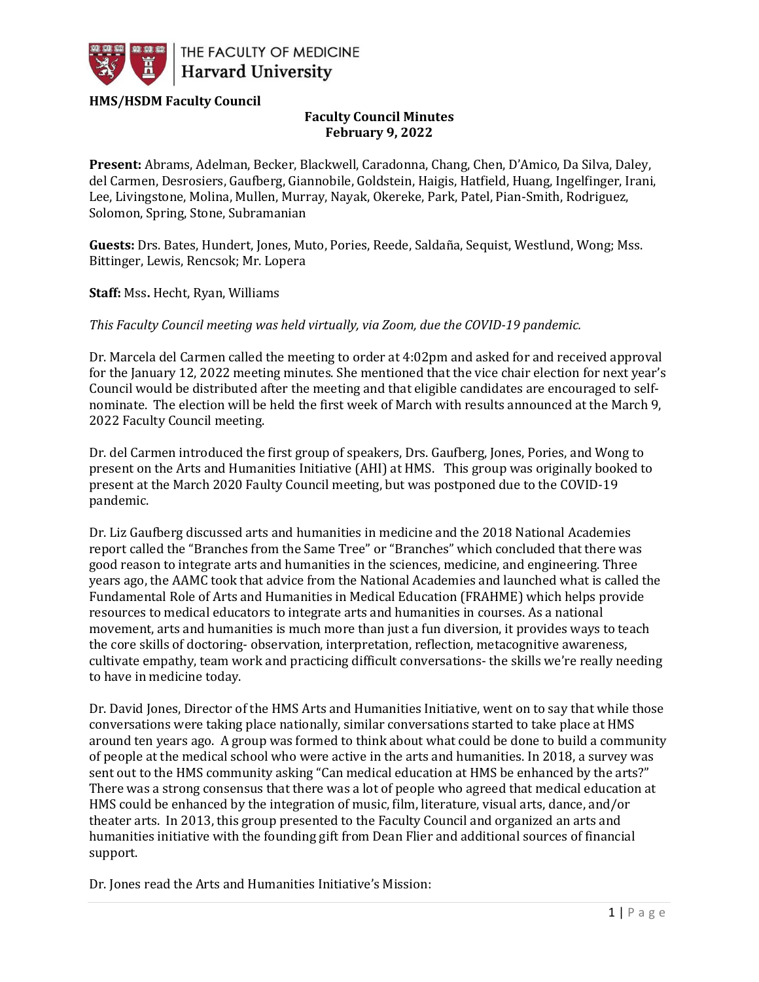

## **HMS/HSDM Faculty Council**

## **Faculty Council Minutes February 9, 2022**

**Present:** Abrams, Adelman, Becker, Blackwell, Caradonna, Chang, Chen, D'Amico, Da Silva, Daley, del Carmen, Desrosiers, Gaufberg, Giannobile, Goldstein, Haigis, Hatfield, Huang, Ingelfinger, Irani, Lee, Livingstone, Molina, Mullen, Murray, Nayak, Okereke, Park, Patel, Pian-Smith, Rodriguez, Solomon, Spring, Stone, Subramanian

**Guests:** Drs. Bates, Hundert, Jones, Muto, Pories, Reede, Saldaña, Sequist, Westlund, Wong; Mss. Bittinger, Lewis, Rencsok; Mr. Lopera

**Staff:** Mss**.** Hecht, Ryan, Williams

*This Faculty Council meeting was held virtually, via Zoom, due the COVID-19 pandemic.*

Dr. Marcela del Carmen called the meeting to order at 4:02pm and asked for and received approval for the January 12, 2022 meeting minutes. She mentioned that the vice chair election for next year's Council would be distributed after the meeting and that eligible candidates are encouraged to selfnominate. The election will be held the first week of March with results announced at the March 9, 2022 Faculty Council meeting.

Dr. del Carmen introduced the first group of speakers, Drs. Gaufberg, Jones, Pories, and Wong to present on the Arts and Humanities Initiative (AHI) at HMS. This group was originally booked to present at the March 2020 Faulty Council meeting, but was postponed due to the COVID-19 pandemic.

Dr. Liz Gaufberg discussed arts and humanities in medicine and the 2018 National Academies report called the "Branches from the Same Tree" or "Branches" which concluded that there was good reason to integrate arts and humanities in the sciences, medicine, and engineering. Three years ago, the AAMC took that advice from the National Academies and launched what is called the Fundamental Role of Arts and Humanities in Medical Education (FRAHME) which helps provide resources to medical educators to integrate arts and humanities in courses. As a national movement, arts and humanities is much more than just a fun diversion, it provides ways to teach the core skills of doctoring- observation, interpretation, reflection, metacognitive awareness, cultivate empathy, team work and practicing difficult conversations- the skills we're really needing to have in medicine today.

Dr. David Jones, Director of the HMS Arts and Humanities Initiative, went on to say that while those conversations were taking place nationally, similar conversations started to take place at HMS around ten years ago. A group was formed to think about what could be done to build a community of people at the medical school who were active in the arts and humanities. In 2018, a survey was sent out to the HMS community asking "Can medical education at HMS be enhanced by the arts?" There was a strong consensus that there was a lot of people who agreed that medical education at HMS could be enhanced by the integration of music, film, literature, visual arts, dance, and/or theater arts. In 2013, this group presented to the Faculty Council and organized an arts and humanities initiative with the founding gift from Dean Flier and additional sources of financial support.

Dr. Jones read the Arts and Humanities Initiative's Mission: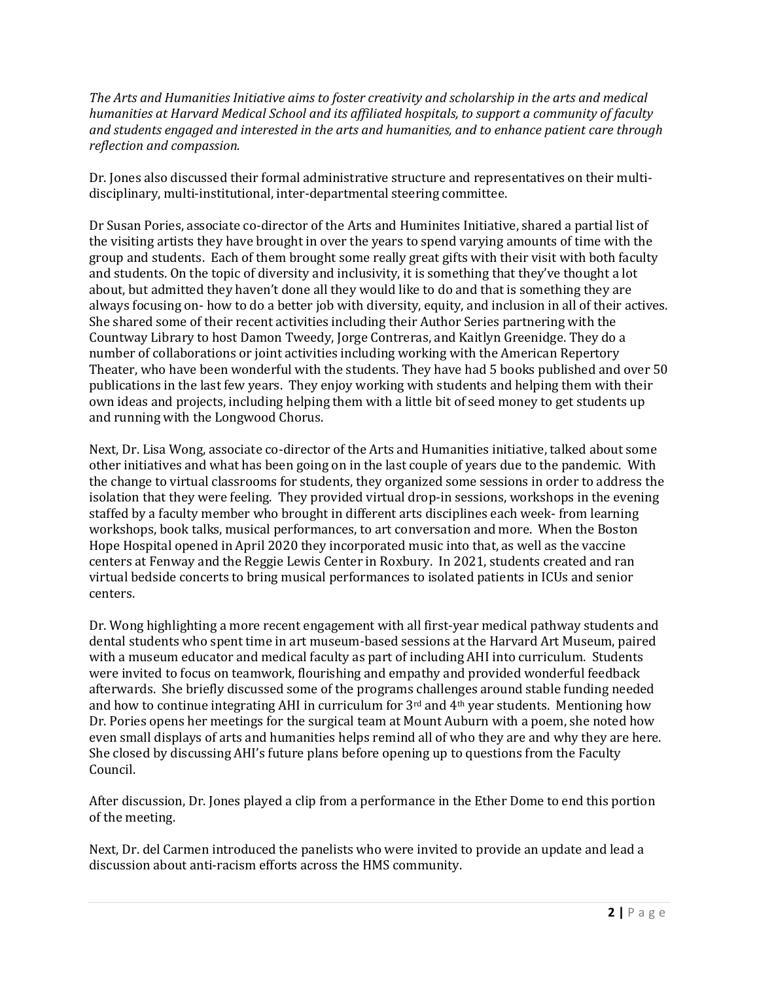*The Arts and Humanities Initiative aims to foster creativity and scholarship in the arts and medical humanities at Harvard Medical School and its affiliated hospitals, to support a community of faculty and students engaged and interested in the arts and humanities, and to enhance patient care through reflection and compassion.*

Dr. Jones also discussed their formal administrative structure and representatives on their multidisciplinary, multi-institutional, inter-departmental steering committee.

Dr Susan Pories, associate co-director of the Arts and Huminites Initiative, shared a partial list of the visiting artists they have brought in over the years to spend varying amounts of time with the group and students. Each of them brought some really great gifts with their visit with both faculty and students. On the topic of diversity and inclusivity, it is something that they've thought a lot about, but admitted they haven't done all they would like to do and that is something they are always focusing on- how to do a better job with diversity, equity, and inclusion in all of their actives. She shared some of their recent activities including their Author Series partnering with the Countway Library to host Damon Tweedy, Jorge Contreras, and Kaitlyn Greenidge. They do a number of collaborations or joint activities including working with the American Repertory Theater, who have been wonderful with the students. They have had 5 books published and over 50 publications in the last few years. They enjoy working with students and helping them with their own ideas and projects, including helping them with a little bit of seed money to get students up and running with the Longwood Chorus.

Next, Dr. Lisa Wong, associate co-director of the Arts and Humanities initiative, talked about some other initiatives and what has been going on in the last couple of years due to the pandemic. With the change to virtual classrooms for students, they organized some sessions in order to address the isolation that they were feeling. They provided virtual drop-in sessions, workshops in the evening staffed by a faculty member who brought in different arts disciplines each week- from learning workshops, book talks, musical performances, to art conversation and more. When the Boston Hope Hospital opened in April 2020 they incorporated music into that, as well as the vaccine centers at Fenway and the Reggie Lewis Center in Roxbury. In 2021, students created and ran virtual bedside concerts to bring musical performances to isolated patients in ICUs and senior centers.

Dr. Wong highlighting a more recent engagement with all first-year medical pathway students and dental students who spent time in art museum-based sessions at the Harvard Art Museum, paired with a museum educator and medical faculty as part of including AHI into curriculum. Students were invited to focus on teamwork, flourishing and empathy and provided wonderful feedback afterwards. She briefly discussed some of the programs challenges around stable funding needed and how to continue integrating AHI in curriculum for  $3<sup>rd</sup>$  and  $4<sup>th</sup>$  year students. Mentioning how Dr. Pories opens her meetings for the surgical team at Mount Auburn with a poem, she noted how even small displays of arts and humanities helps remind all of who they are and why they are here. She closed by discussing AHI's future plans before opening up to questions from the Faculty Council.

After discussion, Dr. Jones played a clip from a performance in the Ether Dome to end this portion of the meeting.

Next, Dr. del Carmen introduced the panelists who were invited to provide an update and lead a discussion about anti-racism efforts across the HMS community.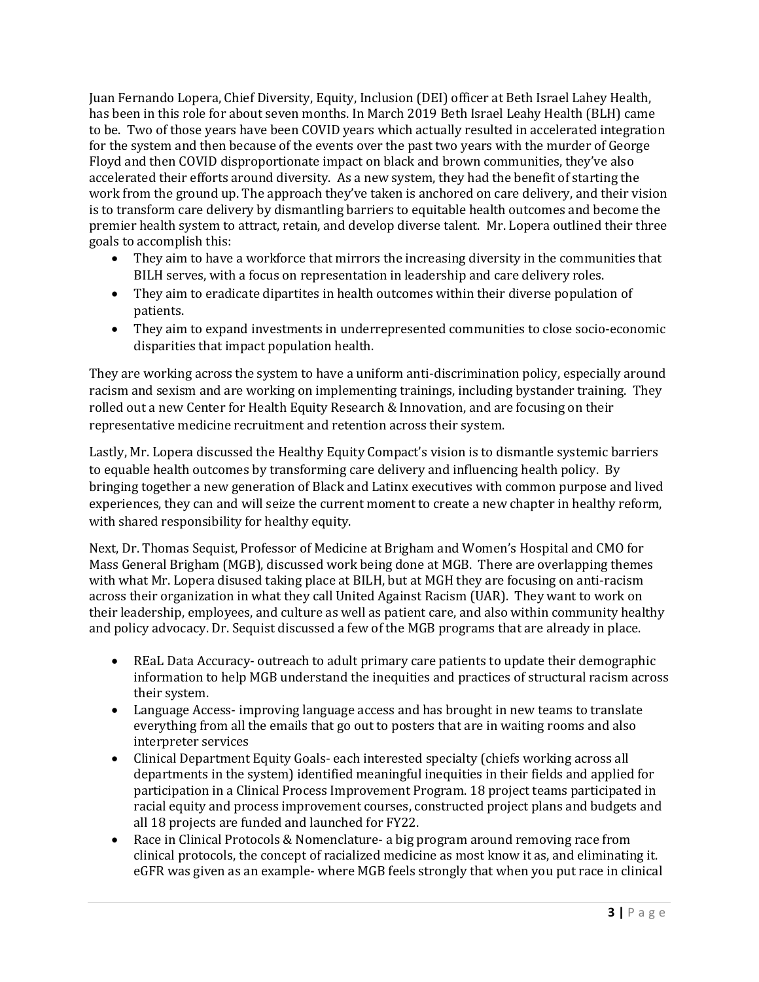Juan Fernando Lopera, Chief Diversity, Equity, Inclusion (DEI) officer at Beth Israel Lahey Health, has been in this role for about seven months. In March 2019 Beth Israel Leahy Health (BLH) came to be. Two of those years have been COVID years which actually resulted in accelerated integration for the system and then because of the events over the past two years with the murder of George Floyd and then COVID disproportionate impact on black and brown communities, they've also accelerated their efforts around diversity. As a new system, they had the benefit of starting the work from the ground up. The approach they've taken is anchored on care delivery, and their vision is to transform care delivery by dismantling barriers to equitable health outcomes and become the premier health system to attract, retain, and develop diverse talent. Mr. Lopera outlined their three goals to accomplish this:

- They aim to have a workforce that mirrors the increasing diversity in the communities that BILH serves, with a focus on representation in leadership and care delivery roles.
- They aim to eradicate dipartites in health outcomes within their diverse population of patients.
- They aim to expand investments in underrepresented communities to close socio-economic disparities that impact population health.

They are working across the system to have a uniform anti-discrimination policy, especially around racism and sexism and are working on implementing trainings, including bystander training. They rolled out a new Center for Health Equity Research & Innovation, and are focusing on their representative medicine recruitment and retention across their system.

Lastly, Mr. Lopera discussed the Healthy Equity Compact's vision is to dismantle systemic barriers to equable health outcomes by transforming care delivery and influencing health policy. By bringing together a new generation of Black and Latinx executives with common purpose and lived experiences, they can and will seize the current moment to create a new chapter in healthy reform, with shared responsibility for healthy equity.

Next, Dr. Thomas Sequist, Professor of Medicine at Brigham and Women's Hospital and CMO for Mass General Brigham (MGB), discussed work being done at MGB. There are overlapping themes with what Mr. Lopera disused taking place at BILH, but at MGH they are focusing on anti-racism across their organization in what they call United Against Racism (UAR). They want to work on their leadership, employees, and culture as well as patient care, and also within community healthy and policy advocacy. Dr. Sequist discussed a few of the MGB programs that are already in place.

- REaL Data Accuracy- outreach to adult primary care patients to update their demographic information to help MGB understand the inequities and practices of structural racism across their system.
- Language Access- improving language access and has brought in new teams to translate everything from all the emails that go out to posters that are in waiting rooms and also interpreter services
- Clinical Department Equity Goals- each interested specialty (chiefs working across all departments in the system) identified meaningful inequities in their fields and applied for participation in a Clinical Process Improvement Program. 18 project teams participated in racial equity and process improvement courses, constructed project plans and budgets and all 18 projects are funded and launched for FY22.
- Race in Clinical Protocols & Nomenclature- a big program around removing race from clinical protocols, the concept of racialized medicine as most know it as, and eliminating it. eGFR was given as an example- where MGB feels strongly that when you put race in clinical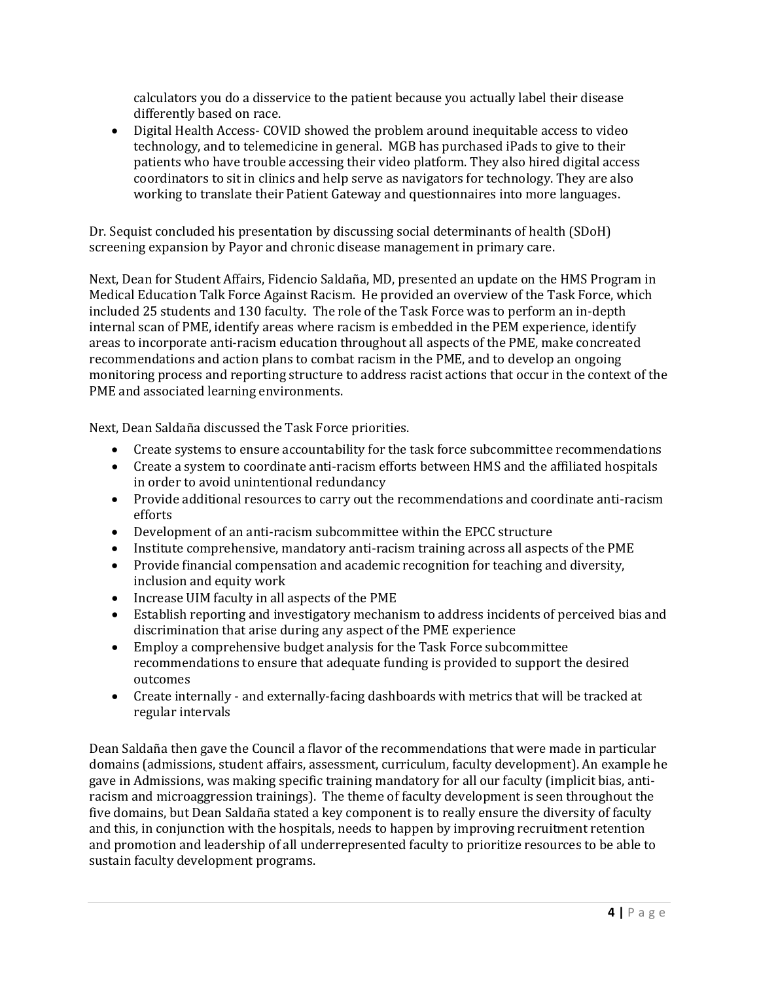calculators you do a disservice to the patient because you actually label their disease differently based on race.

• Digital Health Access- COVID showed the problem around inequitable access to video technology, and to telemedicine in general. MGB has purchased iPads to give to their patients who have trouble accessing their video platform. They also hired digital access coordinators to sit in clinics and help serve as navigators for technology. They are also working to translate their Patient Gateway and questionnaires into more languages.

Dr. Sequist concluded his presentation by discussing social determinants of health (SDoH) screening expansion by Payor and chronic disease management in primary care.

Next, Dean for Student Affairs, Fidencio Saldaña, MD, presented an update on the HMS Program in Medical Education Talk Force Against Racism. He provided an overview of the Task Force, which included 25 students and 130 faculty. The role of the Task Force was to perform an in-depth internal scan of PME, identify areas where racism is embedded in the PEM experience, identify areas to incorporate anti-racism education throughout all aspects of the PME, make concreated recommendations and action plans to combat racism in the PME, and to develop an ongoing monitoring process and reporting structure to address racist actions that occur in the context of the PME and associated learning environments.

Next, Dean Saldaña discussed the Task Force priorities.

- Create systems to ensure accountability for the task force subcommittee recommendations
- Create a system to coordinate anti-racism efforts between HMS and the affiliated hospitals in order to avoid unintentional redundancy
- Provide additional resources to carry out the recommendations and coordinate anti-racism efforts
- Development of an anti-racism subcommittee within the EPCC structure
- Institute comprehensive, mandatory anti-racism training across all aspects of the PME
- Provide financial compensation and academic recognition for teaching and diversity, inclusion and equity work
- Increase UIM faculty in all aspects of the PME
- Establish reporting and investigatory mechanism to address incidents of perceived bias and discrimination that arise during any aspect of the PME experience
- Employ a comprehensive budget analysis for the Task Force subcommittee recommendations to ensure that adequate funding is provided to support the desired outcomes
- Create internally and externally-facing dashboards with metrics that will be tracked at regular intervals

Dean Saldaña then gave the Council a flavor of the recommendations that were made in particular domains (admissions, student affairs, assessment, curriculum, faculty development). An example he gave in Admissions, was making specific training mandatory for all our faculty (implicit bias, antiracism and microaggression trainings). The theme of faculty development is seen throughout the five domains, but Dean Saldaña stated a key component is to really ensure the diversity of faculty and this, in conjunction with the hospitals, needs to happen by improving recruitment retention and promotion and leadership of all underrepresented faculty to prioritize resources to be able to sustain faculty development programs.